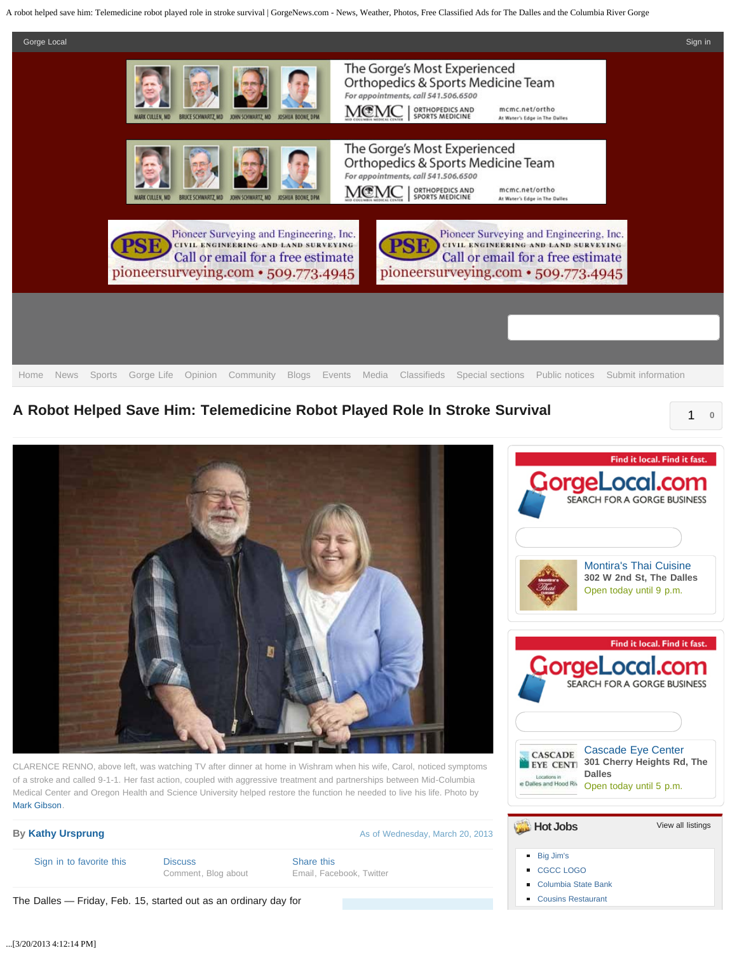

**A Robot Helped Save Him: Telemedicine Robot Played Role In Stroke Survival <sup>0</sup>**

Find it local. Find it fast. **GorgeLocal.com** SEARCH FOR A GORGE BUSINESS [Montira's Thai Cuisine](http://www.gorgelocal.com/marketplace/businesses/montiras-thai-cuisine/) **302 W 2nd St, The Dalles** Open today until 9 p.m. Find it local. Find it fast. **GorgeLocal** SEARCH FOR A GORGE BUSINESS [Cascade Eye Center](http://www.gorgelocal.com/marketplace/businesses/cascade-eye-ctr-1681/)  ${\bf CASCADE}$ **301 Cherry Heights Rd, The EYE CENT** CLARENCE RENNO, above left, was watching TV after dinner at home in Wishram when his wife, Carol, noticed symptoms **Dalles** of a stroke and called 9-1-1. Her fast action, coupled with aggressive treatment and partnerships between Mid-Columbia e Dalles and Hood Riv Open today until 5 p.m. Medical Center and Oregon Health and Science University helped restore the function he needed to live his life. Photo by [Mark Gibson.](http://www.thedalleschronicle.com/staff/gibson-mark/) **Hot Jobs** [View all listings](http://eagle.thedalleschronicle.com/topjobs/tdctjinclude.html?keepThis=true&TB_iframe=true&height=300&width=400) **By [Kathy Ursprung](http://www.thedalleschronicle.com/staff/kathy-ursprung/) By Kathy Ursprung [As of Wednesday, March 20, 2013](file:///C|/Users/ritchiem/Desktop/A robot helped save him  Telemedicine robot played role in stroke survival   GorgeNews.com - News, Weather, Photos, Free Classified Ads for The Dalles and the Columbia River Gorge_files/A robot helped save him  Telemedicine robot played role in stroke survival   GorgeNews.com - News, Weather, Photos, Free Classified Ads for The Dalles and the Columbia River Gorge.htm)** [Big Jim's](http://eagle.hoodrivernews.comhttp//eagle.hoodrivernews.com/topjobs/TDCTJ1.html?keepThis=true&TB_iframe=true&height=300&width=400?keepThis=true&TB_iframe=true&height=300&width=400) [Sign in to favorite this](http://www.thedalleschronicle.com/accounts/login/?next=/news/2013/mar/16/robot-helped-save-him-telemedicine-robot-played-ro/) [Discuss](http://www.thedalleschronicle.com/news/2013/mar/16/robot-helped-save-him-telemedicine-robot-played-ro/#comments) Share this F [CGCC LOGO](http://eagle.hoodrivernews.comhttp//eagle.hoodrivernews.com/topjobs/TDCTJ2.html?keepThis=true&TB_iframe=true&height=300&width=400?keepThis=true&TB_iframe=true&height=300&width=400) [Comment,](http://www.thedalleschronicle.com/news/2013/mar/16/robot-helped-save-him-telemedicine-robot-played-ro/#comments) [Blog about](http://www.thedalleschronicle.com/weblogs/post/?cid=147&oid=24346) [Email](http://www.thedalleschronicle.com/mailfriend/147/24346/ac8c97fe1e/), [Facebook,](https://www.facebook.com/sharer.php?u=http://thedalleschronicle.www.clients.ellingtoncms.com/news/2013/mar/16/robot-helped-save-him-telemedicine-robot-played-ro/) [Twitter](http://twitter.com/home?status=http://thedalleschronicle.www.clients.ellingtoncms.com/news/2013/mar/16/robot-helped-save-him-telemedicine-robot-played-ro/)

> [Columbia State Bank](http://eagle.hoodrivernews.comhttp//eagle.hoodrivernews.com/topjobs/TDCTJ3.html?keepThis=true&TB_iframe=true&height=300&width=400?keepThis=true&TB_iframe=true&height=300&width=400) ■ [Cousins Restaurant](http://eagle.hoodrivernews.comhttp//eagle.hoodrivernews.com/topjobs/TDCTJ4.html?keepThis=true&TB_iframe=true&height=300&width=400?keepThis=true&TB_iframe=true&height=300&width=400)

1

The Dalles — Friday, Feb. 15, started out as an ordinary day for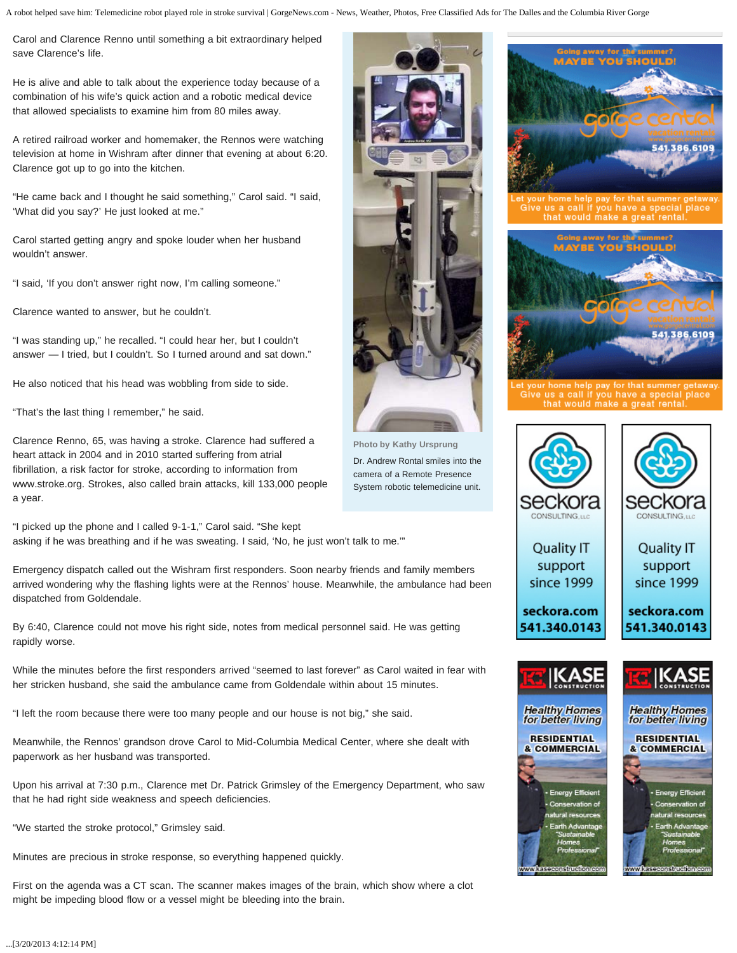Carol and Clarence Renno until something a bit extraordinary helped save Clarence's life.

He is alive and able to talk about the experience today because of a combination of his wife's quick action and a robotic medical device that allowed specialists to examine him from 80 miles away.

A retired railroad worker and homemaker, the Rennos were watching television at home in Wishram after dinner that evening at about 6:20. Clarence got up to go into the kitchen.

"He came back and I thought he said something," Carol said. "I said, 'What did you say?' He just looked at me."

Carol started getting angry and spoke louder when her husband wouldn't answer.

"I said, 'If you don't answer right now, I'm calling someone."

Clarence wanted to answer, but he couldn't.

"I was standing up," he recalled. "I could hear her, but I couldn't answer — I tried, but I couldn't. So I turned around and sat down."

He also noticed that his head was wobbling from side to side.

"That's the last thing I remember," he said.

Clarence Renno, 65, was having a stroke. Clarence had suffered a heart attack in 2004 and in 2010 started suffering from atrial fibrillation, a risk factor for stroke, according to information from www.stroke.org. Strokes, also called brain attacks, kill 133,000 people a year.

"I picked up the phone and I called 9-1-1," Carol said. "She kept asking if he was breathing and if he was sweating. I said, 'No, he just won't talk to me.'"

Emergency dispatch called out the Wishram first responders. Soon nearby friends and family members arrived wondering why the flashing lights were at the Rennos' house. Meanwhile, the ambulance had been dispatched from Goldendale.

By 6:40, Clarence could not move his right side, notes from medical personnel said. He was getting rapidly worse.

While the minutes before the first responders arrived "seemed to last forever" as Carol waited in fear with her stricken husband, she said the ambulance came from Goldendale within about 15 minutes.

"I left the room because there were too many people and our house is not big," she said.

Meanwhile, the Rennos' grandson drove Carol to Mid-Columbia Medical Center, where she dealt with paperwork as her husband was transported.

Upon his arrival at 7:30 p.m., Clarence met Dr. Patrick Grimsley of the Emergency Department, who saw that he had right side weakness and speech deficiencies.

"We started the stroke protocol," Grimsley said.

Minutes are precious in stroke response, so everything happened quickly.

First on the agenda was a CT scan. The scanner makes images of the brain, which show where a clot might be impeding blood flow or a vessel might be bleeding into the brain.



**Photo by Kathy Ursprung**

Dr. Andrew Rontal smiles into the camera of a Remote Presence System robotic telemedicine unit.



r home help pay for that summer getaw<br>us a call if you have a special place<br>that would make a great rental.



or that sur us a call if you have a special place<br>that would make a great rental.





since 1999

seckora.com

541.340.0143

seckora.com 541.340.0143

since 1999



**RESIDENTIAL** 

& COMMERCIAL





erav Effi tion of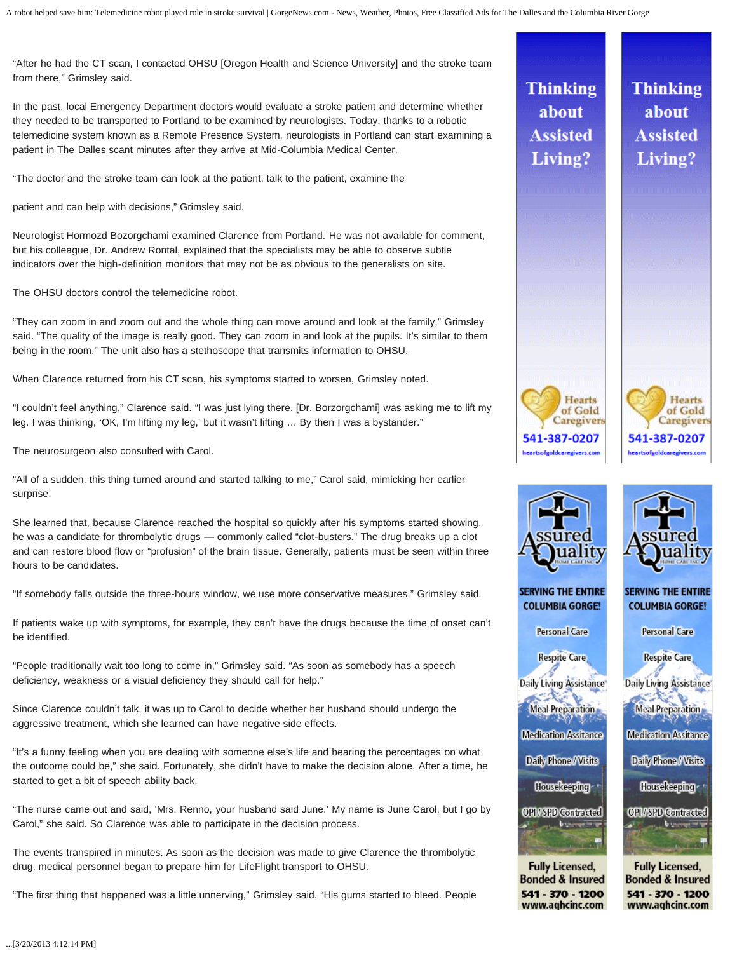"After he had the CT scan, I contacted OHSU [Oregon Health and Science University] and the stroke team from there," Grimsley said.

In the past, local Emergency Department doctors would evaluate a stroke patient and determine whether they needed to be transported to Portland to be examined by neurologists. Today, thanks to a robotic telemedicine system known as a Remote Presence System, neurologists in Portland can start examining a patient in The Dalles scant minutes after they arrive at Mid-Columbia Medical Center.

"The doctor and the stroke team can look at the patient, talk to the patient, examine the

patient and can help with decisions," Grimsley said.

Neurologist Hormozd Bozorgchami examined Clarence from Portland. He was not available for comment, but his colleague, Dr. Andrew Rontal, explained that the specialists may be able to observe subtle indicators over the high-definition monitors that may not be as obvious to the generalists on site.

The OHSU doctors control the telemedicine robot.

"They can zoom in and zoom out and the whole thing can move around and look at the family," Grimsley said. "The quality of the image is really good. They can zoom in and look at the pupils. It's similar to them being in the room." The unit also has a stethoscope that transmits information to OHSU.

When Clarence returned from his CT scan, his symptoms started to worsen, Grimsley noted.

"I couldn't feel anything," Clarence said. "I was just lying there. [Dr. Borzorgchami] was asking me to lift my leg. I was thinking, 'OK, I'm lifting my leg,' but it wasn't lifting … By then I was a bystander."

The neurosurgeon also consulted with Carol.

"All of a sudden, this thing turned around and started talking to me," Carol said, mimicking her earlier surprise.

She learned that, because Clarence reached the hospital so quickly after his symptoms started showing, he was a candidate for thrombolytic drugs — commonly called "clot-busters." The drug breaks up a clot and can restore blood flow or "profusion" of the brain tissue. Generally, patients must be seen within three hours to be candidates.

"If somebody falls outside the three-hours window, we use more conservative measures," Grimsley said.

If patients wake up with symptoms, for example, they can't have the drugs because the time of onset can't be identified.

"People traditionally wait too long to come in," Grimsley said. "As soon as somebody has a speech deficiency, weakness or a visual deficiency they should call for help."

Since Clarence couldn't talk, it was up to Carol to decide whether her husband should undergo the aggressive treatment, which she learned can have negative side effects.

"It's a funny feeling when you are dealing with someone else's life and hearing the percentages on what the outcome could be," she said. Fortunately, she didn't have to make the decision alone. After a time, he started to get a bit of speech ability back.

"The nurse came out and said, 'Mrs. Renno, your husband said June.' My name is June Carol, but I go by Carol," she said. So Clarence was able to participate in the decision process.

The events transpired in minutes. As soon as the decision was made to give Clarence the thrombolytic drug, medical personnel began to prepare him for LifeFlight transport to OHSU.

"The first thing that happened was a little unnerving," Grimsley said. "His gums started to bleed. People

**Thinking** about **Assisted** Living?

**Thinking** about **Assisted** Living?









**SERVING THE ENTIRE** 

**COLUMBIA GORGE!** 

**Respite Care** 

**Daily Living Assistance** 

**Meal Preparation** 

**Medication Assitance** 

**Daily Phone / Visits** 

Housekeeping-

**SERVING THE ENTIRE COLUMBIA GORGE!** 

**Personal Care** 

**Respite Care** 

**Personal Care** 

**Daily Living Assistance Meal Preparation** 

**Medication Assitance** 

**Daily Phone / Visits** 

Housekeeping-



**OPI / SPD Contracted** business of

**Fully Licensed, Fully Licensed, Bonded & Insured Bonded & Insured** 541 - 370 - 1200 541 - 370 - 1200 www.aqhcinc.com www.aqhcinc.com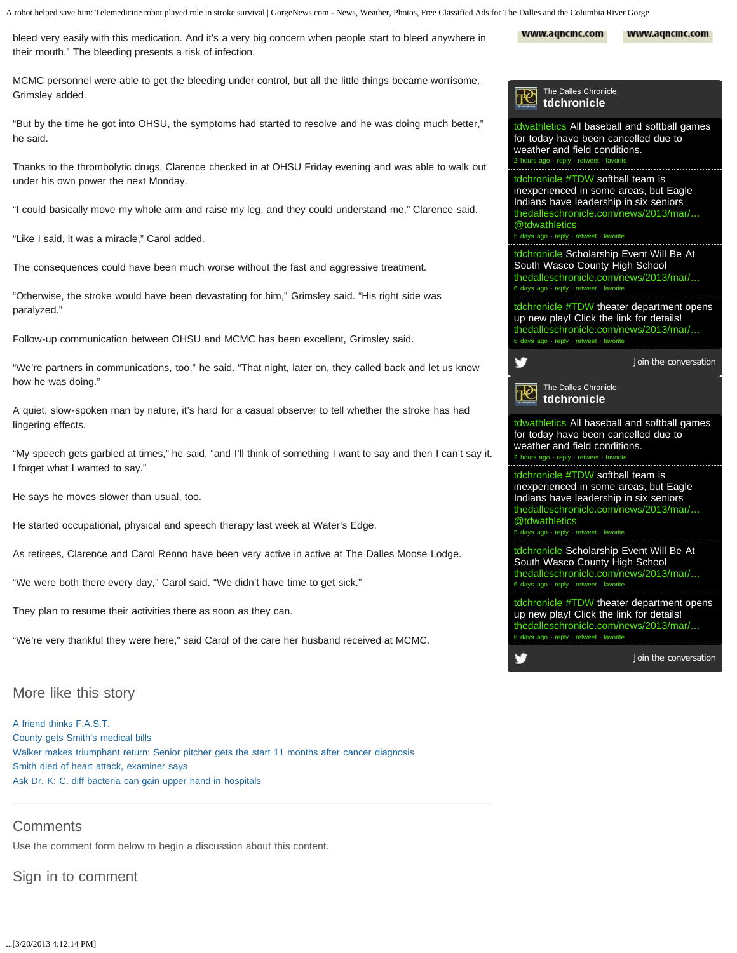

MCMC personnel were able to get the bleeding under control, but all the little things became worrisome, Grimsley added.

"But by the time he got into OHSU, the symptoms had started to resolve and he was doing much better," he said.

Thanks to the thrombolytic drugs, Clarence checked in at OHSU Friday evening and was able to walk out under his own power the next Monday.

"I could basically move my whole arm and raise my leg, and they could understand me," Clarence said.

"Like I said, it was a miracle," Carol added.

The consequences could have been much worse without the fast and aggressive treatment.

"Otherwise, the stroke would have been devastating for him," Grimsley said. "His right side was paralyzed."

Follow-up communication between OHSU and MCMC has been excellent, Grimsley said.

"We're partners in communications, too," he said. "That night, later on, they called back and let us know how he was doing."

A quiet, slow-spoken man by nature, it's hard for a casual observer to tell whether the stroke has had lingering effects.

"My speech gets garbled at times," he said, "and I'll think of something I want to say and then I can't say it. I forget what I wanted to say."

He says he moves slower than usual, too.

He started occupational, physical and speech therapy last week at Water's Edge.

As retirees, Clarence and Carol Renno have been very active in active at The Dalles Moose Lodge.

"We were both there every day," Carol said. "We didn't have time to get sick."

They plan to resume their activities there as soon as they can.

"We're very thankful they were here," said Carol of the care her husband received at MCMC.

## More like this story

[A friend thinks F.A.S.T.](http://www.thedalleschronicle.com/news/2012/may/26/friend-thinks-fst/) [County gets Smith's medical bills](http://www.thedalleschronicle.com/news/2013/feb/21/county-gets-smiths-medical-bills/) [Walker makes triumphant return: Senior pitcher gets the start 11 months after cancer diagnosis](http://www.thedalleschronicle.com/news/2013/mar/12/walker-makes-triumphant-return-senior-pitcher-gets/) [Smith died of heart attack, examiner says](http://www.thedalleschronicle.com/news/2013/jan/16/smith-died-heart-attack-examiner-says/) [Ask Dr. K: C. diff bacteria can gain upper hand in hospitals](http://www.thedalleschronicle.com/news/2013/jan/10/ask-dr-k-c-diff-bacteria-can-gain-upper-hand-hospi/)

## **Comments**

Use the comment form below to begin a discussion about this content.

Sign in to comment

| The Dalles Chronicle<br>tdchronicle                                                                                                                                                                                        |                       |
|----------------------------------------------------------------------------------------------------------------------------------------------------------------------------------------------------------------------------|-----------------------|
| tdwathletics All baseball and softball games<br>for today have been cancelled due to<br>weather and field conditions.<br>2 hours ago · reply · retweet · favorite                                                          |                       |
| tdchronicle #TDW softball team is<br>inexperienced in some areas, but Eagle<br>Indians have leadership in six seniors<br>thedalleschronicle.com/news/2013/mar/<br>@tdwathletics<br>5 days ago reply retweet favorite       |                       |
| tdchronicle Scholarship Event Will Be At<br>South Wasco County High School<br>thedalleschronicle.com/news/2013/mar/<br>6 days ago · reply · retweet · favorite                                                             |                       |
| tdchronicle #TDW theater department opens<br>up new play! Click the link for details!<br>thedalleschronicle.com/news/2013/mar/<br>6 days ago · reply · retweet · favorite                                                  |                       |
|                                                                                                                                                                                                                            | Join the conversation |
| The Dalles Chronicle<br>tdchronicle                                                                                                                                                                                        |                       |
| tdwathletics All baseball and softball games<br>for today have been cancelled due to<br>weather and field conditions.<br>2 hours ago · reply · retweet · favorite                                                          |                       |
| tdchronicle #TDW softball team is<br>inexperienced in some areas, but Eagle<br>Indians have leadership in six seniors<br>thedalleschronicle.com/news/2013/mar/<br>@tdwathletics<br>5 days ago · reply · retweet · favorite |                       |
| tdchronicle Scholarship Event Will Be At<br>South Wasco County High School<br>thedalleschronicle.com/news/2013/mar/<br>6 days ago · reply · retweet · favorite                                                             |                       |
| tdchronicle #TDW theater department opens<br>up new play! Click the link for details!<br>thedalleschronicle.com/news/2013/mar/<br>6 days ago · reply · retweet · favorite                                                  |                       |
|                                                                                                                                                                                                                            | Join the conversation |